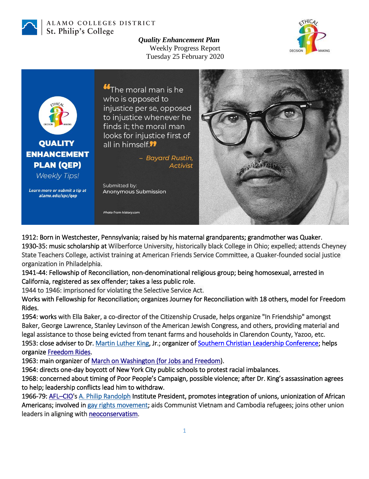

## ALAMO COLLEGES DISTRICT St. Philip's College

*Quality Enhancement Plan* Weekly Progress Report Tuesday 25 February 2020





1912: Born in Westchester, Pennsylvania; raised by his maternal grandparents; grandmother was Quaker. 1930-35: music scholarship at Wilberforce University, historically black College in Ohio; expelled; attends Cheyney State Teachers College, activist training at American Friends Service Committee, a Quaker-founded social justice organization in Philadelphia.

1941-44: Fellowship of Reconciliation, non-denominational religious group; being homosexual, arrested in California, registered as sex offender; takes a less public role.

1944 to 1946: imprisoned for violating the Selective Service Act.

Works with Fellowship for Reconciliation; organizes Journey for Reconciliation with 18 others, model for Freedom Rides.

1954: works with Ella Baker, a co-director of the Citizenship Crusade, helps organize "In Friendship" amongst Baker, George Lawrence, Stanley Levinson of the American Jewish Congress, and others, providing material and legal assistance to those being evicted from tenant farms and households in Clarendon County, Yazoo, etc. 1953: close adviser to Dr. [Martin Luther King,](https://www.britannica.com/biography/Martin-Luther-King-Jr) Jr.; organizer of [Southern Christian Leadership Conference;](https://www.britannica.com/topic/Southern-Christian-Leadership-Conference) helps organize [Freedom Rides.](https://en.wikipedia.org/wiki/Freedom_Riders)

1963: main organizer of [March on Washington \(for Jobs and Freedom\)](https://en.wikipedia.org/wiki/March_on_Washington_for_Jobs_and_Freedom).

1964: directs one-day boycott of New York City public schools to protest racial imbalances.

1968: concerned about timing of Poor People's Campaign, possible violence; after Dr. King's assassination agrees to help; leadership conflicts lead him to withdraw.

1966-79: [AFL](https://en.wikipedia.org/wiki/AFL%E2%80%93CIO)-CIO'[s A. Philip Randolph](https://www.britannica.com/biography/A-Philip-Randolph) Institute President, promotes integration of unions, unionization of African Americans; involved in [gay rights movement;](https://www.britannica.com/topic/gay-rights-movement) aids Communist Vietnam and Cambodia refugees; joins other union leaders in aligning with [neoconservatism.](https://en.wikipedia.org/wiki/Neoconservatism)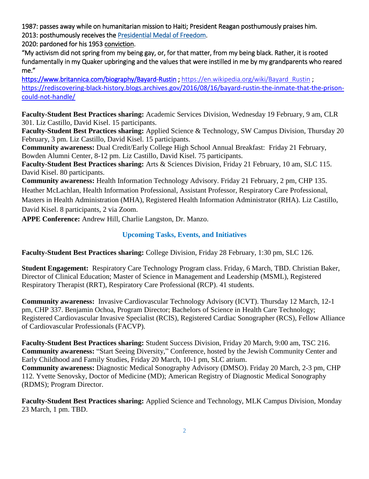1987: passes away while on humanitarian mission to Haiti; President Reagan posthumously praises him. 2013: posthumously receives the [Presidential Medal of Freedom.](https://www.britannica.com/topic/Presidential-Medal-of-Freedom)

2020: pardoned for his 1953 [conviction.](https://www.merriam-webster.com/dictionary/conviction)

"My activism did not spring from my being gay, or, for that matter, from my being black. Rather, it is rooted fundamentally in my Quaker upbringing and the values that were instilled in me by my grandparents who reared me."

<https://www.britannica.com/biography/Bayard-Rustin>; [https://en.wikipedia.org/wiki/Bayard\\_Rustin](https://en.wikipedia.org/wiki/Bayard_Rustin) ; [https://rediscovering-black-history.blogs.archives.gov/2016/08/16/bayard-rustin-the-inmate-that-the-prison](https://rediscovering-black-history.blogs.archives.gov/2016/08/16/bayard-rustin-the-inmate-that-the-prison-could-not-handle/)[could-not-handle/](https://rediscovering-black-history.blogs.archives.gov/2016/08/16/bayard-rustin-the-inmate-that-the-prison-could-not-handle/)

**Faculty-Student Best Practices sharing:** Academic Services Division, Wednesday 19 February, 9 am, CLR 301. Liz Castillo, David Kisel. 15 participants.

**Faculty-Student Best Practices sharing:** Applied Science & Technology, SW Campus Division, Thursday 20 February, 3 pm. Liz Castillo, David Kisel. 15 participants.

**Community awareness:** Dual Credit/Early College High School Annual Breakfast: Friday 21 February, Bowden Alumni Center, 8-12 pm. Liz Castillo, David Kisel. 75 participants.

**Faculty-Student Best Practices sharing:** Arts & Sciences Division, Friday 21 February, 10 am, SLC 115. David Kisel. 80 participants.

**Community awareness:** Health Information Technology Advisory. Friday 21 February, 2 pm, CHP 135. Heather McLachlan, Health Information Professional, Assistant Professor, Respiratory Care Professional, Masters in Health Administration (MHA), Registered Health Information Administrator (RHA). Liz Castillo, David Kisel. 8 participants, 2 via Zoom.

**APPE Conference:** Andrew Hill, Charlie Langston, Dr. Manzo.

## **Upcoming Tasks, Events, and Initiatives**

**Faculty-Student Best Practices sharing:** College Division, Friday 28 February, 1:30 pm, SLC 126.

**Student Engagement:** Respiratory Care Technology Program class. Friday, 6 March, TBD. Christian Baker, Director of Clinical Education; Master of Science in Management and Leadership (MSML), Registered Respiratory Therapist (RRT), Respiratory Care Professional (RCP). 41 students.

**Community awareness:** Invasive Cardiovascular Technology Advisory (ICVT). Thursday 12 March, 12-1 pm, CHP 337. Benjamin Ochoa, Program Director; Bachelors of Science in Health Care Technology; Registered Cardiovascular Invasive Specialist (RCIS), Registered Cardiac Sonographer (RCS), Fellow Alliance of Cardiovascular Professionals (FACVP).

**Faculty-Student Best Practices sharing:** Student Success Division, Friday 20 March, 9:00 am, TSC 216. **Community awareness:** "Start Seeing Diversity," Conference, hosted by the Jewish Community Center and Early Childhood and Family Studies, Friday 20 March, 10-1 pm, SLC atrium. **Community awareness:** Diagnostic Medical Sonography Advisory (DMSO). Friday 20 March, 2-3 pm, CHP 112. Yvette Senovsky, Doctor of Medicine (MD); American Registry of Diagnostic Medical Sonography (RDMS); Program Director.

**Faculty-Student Best Practices sharing:** Applied Science and Technology, MLK Campus Division, Monday 23 March, 1 pm. TBD.